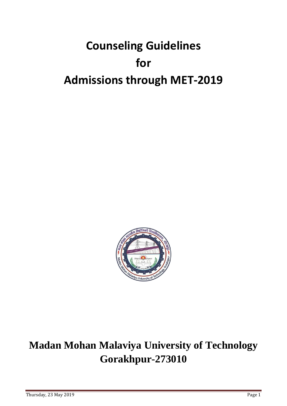# **Counseling Guidelines for Admissions through MET-2019**



# **Madan Mohan Malaviya University of Technology Gorakhpur-273010**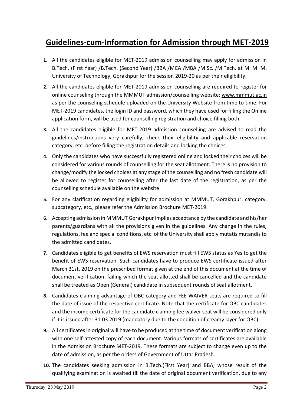# **Guidelines-cum-Information for Admission through MET-2019**

- **1.** All the candidates eligible for MET-2019 admission counselling may apply for admission in B.Tech. (First Year) /B.Tech. (Second Year) /BBA /MCA /MBA /M.Sc. /M.Tech. at M. M. M. University of Technology, Gorakhpur for the session 2019-20 as per their eligibility.
- **2.** All the candidates eligible for MET-2019 admission counselling are required to register for online counseling through the MMMUT admission/counselling website: [www.mmmut.ac.in](http://www.mmmut.ac.in/) as per the counseling schedule uploaded on the University Website from time to time. For MET-2019 candidates, the login ID and password, which they have used for filling the Online application form, will be used for counselling registration and choice filling both.
- **3.** All the candidates eligible for MET-2019 admission counselling are advised to read the guidelines/instructions very carefully, check their eligibility and applicable reservation category, etc. before filling the registration details and locking the choices.
- **4.** Only the candidates who have successfully registered online and locked their choices will be considered for various rounds of counselling for the seat allotment. There is no provision to change/modify the locked choices at any stage of the counselling and no fresh candidate will be allowed to register for counselling after the last date of the registration, as per the counselling schedule available on the website.
- **5.** For any clarification regarding eligibility for admission at MMMUT, Gorakhpur, category, subcategory, etc., please refer the Admission Brochure MET-2019.
- **6.** Accepting admission in MMMUT Gorakhpur implies acceptance by the candidate and his/her parents/guardians with all the provisions given in the guidelines. Any change in the rules, regulations, fee and special conditions, etc. of the University shall apply mutatis mutandis to the admitted candidates.
- **7.** Candidates eligible to get benefits of EWS reservation must fill EWS status as Yes to get the benefit of EWS reservation. Such candidates have to produce EWS certificate issued after March 31st, 2019 on the prescribed format given at the end of this document at the time of document verification, failing which the seat allotted shall be cancelled and the candidate shall be treated as Open (General) candidate in subsequent rounds of seat allotment.
- **8.** Candidates claiming advantage of OBC category and FEE WAIVER seats are required to fill the date of issue of the respective certificate. Note that the certificate for OBC candidates and the income certificate for the candidate claiming fee waiver seat will be considered only if it is issued after 31.03.2019 (mandatory due to the condition of creamy layer for OBC).
- **9.** All certificates in original will have to be produced at the time of document verification along with one self-attested copy of each document. Various formats of certificates are available in the Admission Brochure MET-2019. These formats are subject to change even up to the date of admission, as per the orders of Government of Uttar Pradesh.
- **10.** The candidates seeking admission in B.Tech.(First Year) and BBA, whose result of the qualifying examination is awaited till the date of original document verification, due to any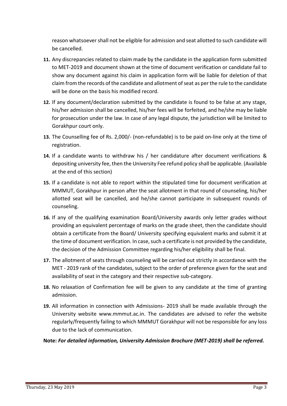reason whatsoever shall not be eligible for admission and seat allotted to such candidate will be cancelled.

- **11.** Any discrepancies related to claim made by the candidate in the application form submitted to MET-2019 and document shown at the time of document verification or candidate fail to show any document against his claim in application form will be liable for deletion of that claim from the records of the candidate and allotment of seat as per the rule to the candidate will be done on the basis his modified record.
- **12.** If any document/declaration submitted by the candidate is found to be false at any stage, his/her admission shall be cancelled, his/her fees will be forfeited, and he/she may be liable for prosecution under the law. In case of any legal dispute, the jurisdiction will be limited to Gorakhpur court only.
- **13.** The Counselling fee of Rs. 2,000/- (non-refundable) is to be paid on-line only at the time of registration.
- **14.** If a candidate wants to withdraw his / her candidature after document verifications & depositing university fee, then the University Fee refund policy shall be applicable. (Available at the end of this section)
- **15.** If a candidate is not able to report within the stipulated time for document verification at MMMUT, Gorakhpur in person after the seat allotment in that round of counseling, his/her allotted seat will be cancelled, and he/she cannot participate in subsequent rounds of counseling.
- **16.** If any of the qualifying examination Board/University awards only letter grades without providing an equivalent percentage of marks on the grade sheet, then the candidate should obtain a certificate from the Board/ University specifying equivalent marks and submit it at the time of document verification. In case, such a certificate is not provided by the candidate, the decision of the Admission Committee regarding his/her eligibility shall be final.
- **17.** The allotment of seats through counseling will be carried out strictly in accordance with the MET - 2019 rank of the candidates, subject to the order of preference given for the seat and availability of seat in the category and their respective sub-category.
- **18.** No relaxation of Confirmation fee will be given to any candidate at the time of granting admission.
- **19.** All information in connection with Admissions- 2019 shall be made available through the University website [www.mmmut.ac.in.](http://www.mmmut.ac.in/) The candidates are advised to refer the website regularly/frequently failing to which MMMUT Gorakhpur will not be responsible for any loss due to the lack of communication.

**Note:** *For detailed information, University Admission Brochure (MET-2019) shall be referred.*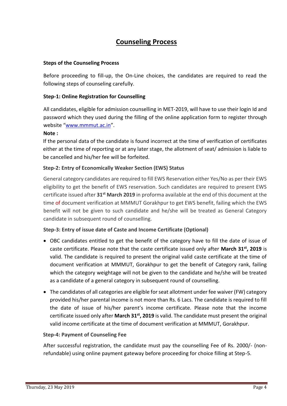# **Counseling Process**

### **Steps of the Counseling Process**

Before proceeding to fill-up, the On-Line choices, the candidates are required to read the following steps of counseling carefully.

### **Step-1: Online Registration for Counselling**

All candidates, eligible for admission counselling in MET-2019, will have to use their login Id and password which they used during the filling of the online application form to register through website "[www.mmmut.ac.in](http://www.mmmut.ac.in/)".

### **Note :**

If the personal data of the candidate is found incorrect at the time of verification of certificates either at the time of reporting or at any later stage, the allotment of seat/ admission is liable to be cancelled and his/her fee will be forfeited.

### **Step-2: Entry of Economically Weaker Section (EWS) Status**

General category candidates are required to fill EWS Reservation either Yes/No as per their EWS eligibility to get the benefit of EWS reservation. Such candidates are required to present EWS certificate issued after **31st March 2019** in proforma available at the end of this document at the time of document verification at MMMUT Gorakhpur to get EWS benefit, failing which the EWS benefit will not be given to such candidate and he/she will be treated as General Category candidate in subsequent round of counselling.

### **Step-3: Entry of issue date of Caste and Income Certificate (Optional)**

- OBC candidates entitled to get the benefit of the category have to fill the date of issue of caste certificate. Please note that the caste certificate issued only after **March 31st, 2019** is valid. The candidate is required to present the original valid caste certificate at the time of document verification at MMMUT, Gorakhpur to get the benefit of Category rank, failing which the category weightage will not be given to the candidate and he/she will be treated as a candidate of a general category in subsequent round of counselling.
- The candidates of all categories are eligible for seat allotment under fee waiver (FW) category provided his/her parental income is not more than Rs. 6 Lacs. The candidate is required to fill the date of issue of his/her parent's income certificate. Please note that the income certificate issued only after **March 31st, 2019** is valid. The candidate must present the original valid income certificate at the time of document verification at MMMUT, Gorakhpur.

### **Step-4: Payment of Counseling Fee**

After successful registration, the candidate must pay the counselling Fee of Rs. 2000/- (nonrefundable) using online payment gateway before proceeding for choice filling at Step-5.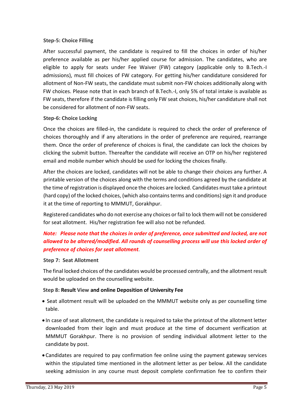### **Step-5: Choice Filling**

After successful payment, the candidate is required to fill the choices in order of his/her preference available as per his/her applied course for admission. The candidates, who are eligible to apply for seats under Fee Waiver (FW) category (applicable only to B.Tech.-I admissions), must fill choices of FW category. For getting his/her candidature considered for allotment of Non-FW seats, the candidate must submit non-FW choices additionally along with FW choices. Please note that in each branch of B.Tech.-I, only 5% of total intake is available as FW seats, therefore if the candidate is filling only FW seat choices, his/her candidature shall not be considered for allotment of non-FW seats.

### **Step-6: Choice Locking**

Once the choices are filled-in, the candidate is required to check the order of preference of choices thoroughly and if any alterations in the order of preference are required, rearrange them. Once the order of preference of choices is final, the candidate can lock the choices by clicking the submit button. Thereafter the candidate will receive an OTP on his/her registered email and mobile number which should be used for locking the choices finally.

After the choices are locked, candidates will not be able to change their choices any further. A printable version of the choices along with the terms and conditions agreed by the candidate at the time of registration is displayed once the choices are locked. Candidates must take a printout (hard copy) of the locked choices, (which also contains terms and conditions) sign it and produce it at the time of reporting to MMMUT, Gorakhpur.

Registered candidates who do not exercise any choices or fail to lock them will not be considered for seat allotment. His/her registration fee will also not be refunded.

# *Note: Please note that the choices in order of preference, once submitted and locked, are not allowed to be altered/modified. All rounds of counselling process will use this locked order of preference of choices for seat allotment.*

### **Step 7: Seat Allotment**

The final locked choices of the candidates would be processed centrally, and the allotment result would be uploaded on the counselling website.

### **Step 8: Result View and online Deposition of University Fee**

- Seat allotment result will be uploaded on the MMMUT website only as per counselling time table.
- In case of seat allotment, the candidate is required to take the printout of the allotment letter downloaded from their login and must produce at the time of document verification at MMMUT Gorakhpur. There is no provision of sending individual allotment letter to the candidate by post.
- Candidates are required to pay confirmation fee online using the payment gateway services within the stipulated time mentioned in the allotment letter as per below. All the candidate seeking admission in any course must deposit complete confirmation fee to confirm their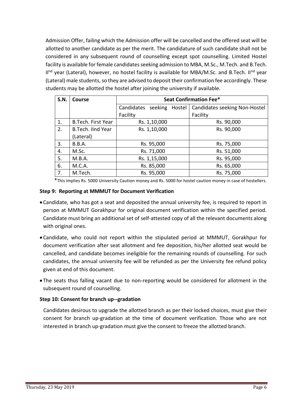Admission Offer, failing which the Admission offer will be cancelled and the offered seat will be allotted to another candidate as per the merit. The candidature of such candidate shall not be considered in any subsequent round of counselling except spot counselling. Limited Hostel facility is available for female candidates seeking admission to MBA, M.Sc., M.Tech. and B.Tech. II<sup>nd</sup> year (Lateral), however, no hostel facility is available for MBA/M.Sc. and B.Tech. II<sup>nd</sup> year (Lateral) male students, so they are advised to deposit their confirmation fee accordingly. These students may be allotted the hostel after joining the university if available.

| S.N. | Course                    |                           | <b>Seat Confirmation Fee*</b> |
|------|---------------------------|---------------------------|-------------------------------|
|      |                           | Candidates seeking Hostel | Candidates seeking Non-Hostel |
|      |                           | Facility                  | Facility                      |
| 1.   | <b>B.Tech. First Year</b> | Rs. 1,10,000              | Rs. 90,000                    |
| 2.   | <b>B.Tech. IInd Year</b>  | Rs. 1,10,000              | Rs. 90,000                    |
|      | (Lateral)                 |                           |                               |
| 3.   | B.B.A.                    | Rs. 95,000                | Rs. 75,000                    |
| 4.   | M.Sc.                     | Rs. 71,000                | Rs. 51,000                    |
| 5.   | M.B.A.                    | Rs. 1,15,000              | Rs. 95,000                    |
| 6.   | M.C.A.                    | Rs. 85,000                | Rs. 65,000                    |
| 7.   | M.Tech.                   | Rs. 95,000                | Rs. 75,000                    |

\*This implies Rs. 5000 University Caution money and Rs. 5000 for hostel caution money in case of hostellers.

### **Step 9: Reporting at MMMUT for Document Verification**

- •Candidate, who has got a seat and deposited the annual university fee, is required to report in person at MMMUT Gorakhpur for original document verification within the specified period. Candidate must bring an additional set of self-attested copy of all the relevant documents along with original ones.
- •Candidate, who could not report within the stipulated period at MMMUT, Gorakhpur for document verification after seat allotment and fee deposition, his/her allotted seat would be cancelled, and candidate becomes ineligible for the remaining rounds of counselling. For such candidates, the annual university fee will be refunded as per the University fee refund policy given at end of this document.
- The seats thus falling vacant due to non-reporting would be considered for allotment in the subsequent round of counselling.

### **Step 10: Consent for branch up--gradation**

Candidates desirous to upgrade the allotted branch as per their locked choices, must give their consent for branch up-gradation at the time of document verification. Those who are not interested in branch up-gradation must give the consent to freeze the allotted branch.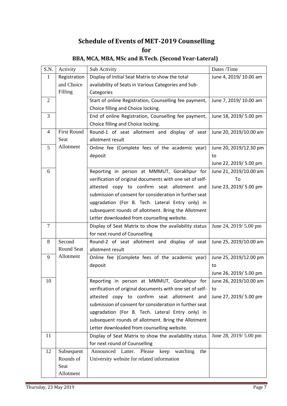# **Schedule of Events of MET-2019 Counselling for**

#### S.N. Activity Sub Activity Sub Activity Dates /Time 1 Registration and Choice Filling Display of Initial Seat Matrix to show the total availability of Seats in Various Categories and Sub-**Categories** June 4, 2019/ 10.00 am 2 | Start of online Registration, Counselling fee payment, Choice filling and Choice locking. June 7, 2019/ 10.00 am 3 End of online Registration, Counselling fee payment, Choice filling and Choice locking. June 18, 2019/ 5.00 pm 4 First Round Seat Allotment Round-1 of seat allotment and display of seat allotment result June 20, 2019/10.00 am  $5$  | Allotment | Online fee (Complete fees of the academic year) deposit June 20, 2019/12.30 pm to June 22, 2019/ 5.00 pm 6 Reporting in person at MMMUT, Gorakhpur for verification of original documents with one set of selfattested copy to confirm seat allotment and submission of consent for consideration in further seat upgradation (For B. Tech. Lateral Entry only) in subsequent rounds of allotment. Bring the Allotment Letter downloaded from counselling website. June 21, 2019/10.00 am To June 23, 2019/ 5.00 pm 7 Display of Seat Matrix to show the availability status for next round of Counselling June 24, 2019/ 5.00 pm 8 Second Round Seat Allotment Round-2 of seat allotment and display of seat allotment result June 25, 2019/10.00 am 9 Allotment | Online fee (Complete fees of the academic year) deposit June 25, 2019/12.00 pm to June 26, 2019/ 5.00 pm 10 | Reporting in person at MMMUT, Gorakhpur for verification of original documents with one set of selfattested copy to confirm seat allotment and submission of consent for consideration in further seat upgradation (For B. Tech. Lateral Entry only) in subsequent rounds of allotment. Bring the Allotment Letter downloaded from counselling website. June 26, 2019/10.00 am to June 27, 2019/ 5.00 pm 11 Display of Seat Matrix to show the availability status for next round of Counselling June 28, 2019/ 5.00 pm 12 Subsequent Rounds of Seat Allotment Announced Latter. Please keep watching the University website for related information

### **BBA, MCA, MBA, MSc and B.Tech. (Second Year-Lateral)**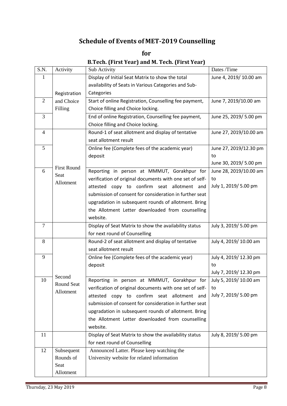# **Schedule of Events of MET-2019 Counselling**

**for B.Tech. (First Year) and M. Tech. (First Year)**

| S.N.           | Activity                   | Sub Activity                                             | Dates /Time            |
|----------------|----------------------------|----------------------------------------------------------|------------------------|
| 1              |                            | Display of Initial Seat Matrix to show the total         | June 4, 2019/10.00 am  |
|                |                            | availability of Seats in Various Categories and Sub-     |                        |
|                | Registration               | Categories                                               |                        |
| 2              | and Choice                 | Start of online Registration, Counselling fee payment,   | June 7, 2019/10.00 am  |
|                | Filling                    | Choice filling and Choice locking.                       |                        |
| 3              |                            | End of online Registration, Counselling fee payment,     | June 25, 2019/ 5.00 pm |
|                |                            | Choice filling and Choice locking.                       |                        |
| $\overline{4}$ |                            | Round-1 of seat allotment and display of tentative       | June 27, 2019/10.00 am |
|                |                            | seat allotment result                                    |                        |
| 5              |                            | Online fee (Complete fees of the academic year)          | June 27, 2019/12.30 pm |
|                |                            | deposit                                                  | to                     |
|                |                            |                                                          | June 30, 2019/ 5.00 pm |
| 6              | <b>First Round</b><br>Seat | Reporting in person at MMMUT, Gorakhpur for              | June 28, 2019/10.00 am |
|                | Allotment                  | verification of original documents with one set of self- | to                     |
|                |                            | attested copy to confirm seat allotment and              | July 1, 2019/ 5.00 pm  |
|                |                            | submission of consent for consideration in further seat  |                        |
|                |                            | upgradation in subsequent rounds of allotment. Bring     |                        |
|                |                            | the Allotment Letter downloaded from counselling         |                        |
|                |                            | website.                                                 |                        |
| $\overline{7}$ |                            | Display of Seat Matrix to show the availability status   | July 3, 2019/ 5.00 pm  |
|                |                            | for next round of Counselling                            |                        |
| 8              |                            | Round-2 of seat allotment and display of tentative       | July 4, 2019/10.00 am  |
|                |                            | seat allotment result                                    |                        |
| 9              |                            | Online fee (Complete fees of the academic year)          | July 4, 2019/12.30 pm  |
|                |                            | deposit                                                  | to                     |
|                | Second                     |                                                          | July 7, 2019/12.30 pm  |
| 10             | Round Seat                 | Reporting in person at MMMUT, Gorakhpur for              | July 5, 2019/10.00 am  |
|                | Allotment                  | verification of original documents with one set of self- | to                     |
|                |                            | attested copy to confirm seat allotment and              | July 7, 2019/ 5.00 pm  |
|                |                            | submission of consent for consideration in further seat  |                        |
|                |                            | upgradation in subsequent rounds of allotment. Bring     |                        |
|                |                            | the Allotment Letter downloaded from counselling         |                        |
|                |                            | website.                                                 |                        |
| 11             |                            | Display of Seat Matrix to show the availability status   | July 8, 2019/ 5.00 pm  |
|                |                            | for next round of Counselling                            |                        |
| 12             | Subsequent                 | Announced Latter. Please keep watching the               |                        |
|                | Rounds of                  | University website for related information               |                        |
|                | Seat                       |                                                          |                        |
|                | Allotment                  |                                                          |                        |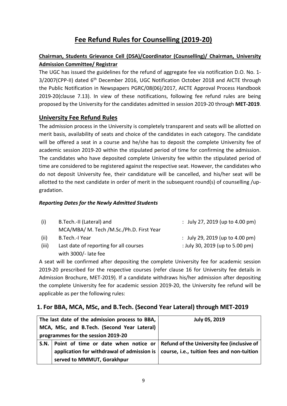# **Fee Refund Rules for Counselling (2019-20)**

# **Chairman, Students Grievance Cell (DSA)/Coordinator (Counselling)/ Chairman, University Admission Committee/ Registrar**

The UGC has issued the guidelines for the refund of aggregate fee via notification D.O. No. 1- 3/2007(CPP-II) dated 6<sup>th</sup> December 2016, UGC Notification October 2018 and AICTE through the Public Notification in Newspapers PGRC/08(06)/2017, AICTE Approval Process Handbook 2019-20(clause 7.13). In view of these notifications, following fee refund rules are being proposed by the University for the candidates admitted in session 2019-20 through **MET-2019**.

# **University Fee Refund Rules**

The admission process in the University is completely transparent and seats will be allotted on merit basis, availability of seats and choice of the candidates in each category. The candidate will be offered a seat in a course and he/she has to deposit the complete University fee of academic session 2019-20 within the stipulated period of time for confirming the admission. The candidates who have deposited complete University fee within the stipulated period of time are considered to be registered against the respective seat. However, the candidates who do not deposit University fee, their candidature will be cancelled, and his/her seat will be allotted to the next candidate in order of merit in the subsequent round(s) of counselling /upgradation.

### *Reporting Dates for the Newly Admitted Students*

| (i)   | B.Tech.-II (Lateral) and                 | : July 27, 2019 (up to 4.00 pm) |
|-------|------------------------------------------|---------------------------------|
|       | MCA/MBA/ M. Tech /M.Sc./Ph.D. First Year |                                 |
| (ii)  | B.Tech.-I Year                           | : July 29, 2019 (up to 4.00 pm) |
| (iii) | Last date of reporting for all courses   | : July 30, 2019 (up to 5.00 pm) |
|       | with 3000/- late fee                     |                                 |

A seat will be confirmed after depositing the complete University fee for academic session 2019-20 prescribed for the respective courses (refer clause 16 for University fee details in Admission Brochure, MET-2019). If a candidate withdraws his/her admission after depositing the complete University fee for academic session 2019-20, the University fee refund will be applicable as per the following rules:

## **1. For BBA, MCA, MSc, and B.Tech. (Second Year Lateral) through MET-2019**

| The last date of the admission process to BBA,                                                | <b>July 05, 2019</b> |
|-----------------------------------------------------------------------------------------------|----------------------|
| MCA, MSc, and B.Tech. (Second Year Lateral)                                                   |                      |
| programmes for the session 2019-20                                                            |                      |
| S.N.   Point of time or date when notice or   Refund of the University fee (inclusive of      |                      |
| application for withdrawal of admission is $\vert$ course, i.e., tuition fees and non-tuition |                      |
| served to MMMUT, Gorakhpur                                                                    |                      |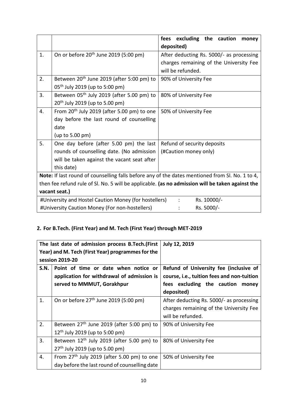|    |                                                                                                  | excluding the caution<br>fees<br>money   |
|----|--------------------------------------------------------------------------------------------------|------------------------------------------|
|    |                                                                                                  | deposited)                               |
| 1. | On or before 20 <sup>th</sup> June 2019 (5:00 pm)                                                | After deducting Rs. 5000/- as processing |
|    |                                                                                                  | charges remaining of the University Fee  |
|    |                                                                                                  | will be refunded.                        |
| 2. | Between 20 <sup>th</sup> June 2019 (after 5:00 pm) to                                            | 90% of University Fee                    |
|    | 05 <sup>th</sup> July 2019 (up to 5:00 pm)                                                       |                                          |
| 3. | Between $05th$ July 2019 (after 5.00 pm) to                                                      | 80% of University Fee                    |
|    | $20^{th}$ July 2019 (up to 5.00 pm)                                                              |                                          |
| 4. | From $20th$ July 2019 (after 5.00 pm) to one                                                     | 50% of University Fee                    |
|    | day before the last round of counselling                                                         |                                          |
|    | date                                                                                             |                                          |
|    | (up to 5.00 pm)                                                                                  |                                          |
| 5. | One day before (after 5.00 pm) the last                                                          | Refund of security deposits              |
|    | rounds of counselling date. (No admission                                                        | (#Caution money only)                    |
|    | will be taken against the vacant seat after                                                      |                                          |
|    | this date)                                                                                       |                                          |
|    | Note: If last round of counselling falls before any of the dates mentioned from Sl. No. 1 to 4,  |                                          |
|    | then fee refund rule of SI. No. 5 will be applicable. (as no admission will be taken against the |                                          |
|    | vacant seat.)                                                                                    |                                          |
|    | #University and Hostel Caution Money (for hostellers)                                            | Rs. 10000/-<br>$\ddot{\cdot}$            |
|    | #University Caution Money (For non-hostellers)                                                   | Rs. 5000/-                               |

# **2. For B.Tech. (First Year) and M. Tech (First Year) through MET-2019**

|      | The last date of admission process B.Tech. (First     | <b>July 12, 2019</b>                       |
|------|-------------------------------------------------------|--------------------------------------------|
|      | Year) and M. Tech (First Year) programmes for the     |                                            |
|      | session 2019-20                                       |                                            |
| S.N. | Point of time or date when notice or                  | Refund of University fee (inclusive of     |
|      | application for withdrawal of admission is            | course, i.e., tuition fees and non-tuition |
|      | served to MMMUT, Gorakhpur                            | fees excluding the caution<br>money        |
|      |                                                       | deposited)                                 |
| 1.   | On or before 27 <sup>th</sup> June 2019 (5:00 pm)     | After deducting Rs. 5000/- as processing   |
|      |                                                       | charges remaining of the University Fee    |
|      |                                                       | will be refunded.                          |
| 2.   | Between 27 <sup>th</sup> June 2019 (after 5:00 pm) to | 90% of University Fee                      |
|      | $12^{th}$ July 2019 (up to 5:00 pm)                   |                                            |
| 3.   | Between 12 <sup>th</sup> July 2019 (after 5.00 pm) to | 80% of University Fee                      |
|      | 27 <sup>th</sup> July 2019 (up to 5.00 pm)            |                                            |
| 4.   | From $27th$ July 2019 (after 5.00 pm) to one          | 50% of University Fee                      |
|      | day before the last round of counselling date         |                                            |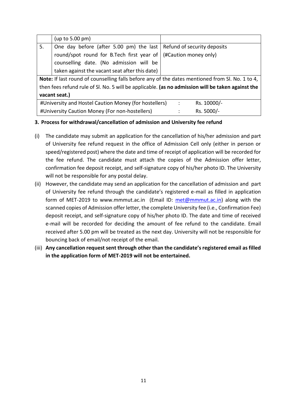|    | (up to 5.00 pm)                                                                                   |                |                             |  |
|----|---------------------------------------------------------------------------------------------------|----------------|-----------------------------|--|
| 5. | One day before (after 5.00 pm) the last                                                           |                | Refund of security deposits |  |
|    | round/spot round for B.Tech first year of                                                         |                | (#Caution money only)       |  |
|    | counselling date. (No admission will be                                                           |                |                             |  |
|    | taken against the vacant seat after this date)                                                    |                |                             |  |
|    | Note: If last round of counselling falls before any of the dates mentioned from SI. No. 1 to 4,   |                |                             |  |
|    | then fees refund rule of Sl. No. 5 will be applicable. (as no admission will be taken against the |                |                             |  |
|    | vacant seat.)                                                                                     |                |                             |  |
|    | #University and Hostel Caution Money (for hostellers)                                             | $\ddot{\cdot}$ | Rs. 10000/-                 |  |
|    | #University Caution Money (For non-hostellers)                                                    |                | Rs. 5000/-                  |  |

### **3. Process for withdrawal/cancellation of admission and University fee refund**

- (i) The candidate may submit an application for the cancellation of his/her admission and part of University fee refund request in the office of Admission Cell only (either in person or speed/registered post) where the date and time of receipt of application will be recorded for the fee refund. The candidate must attach the copies of the Admission offer letter, confirmation fee deposit receipt, and self-signature copy of his/her photo ID. The University will not be responsible for any postal delay.
- (ii) However, the candidate may send an application for the cancellation of admission and part of University fee refund through the candidate's registered e-mail as filled in application form of MET-2019 to www.mmmut.ac.in (Email ID: [met@mmmut.ac.in\)](mailto:met@mmmut.ac.in) along with the scanned copies of Admission offer letter, the complete University fee (i.e., Confirmation Fee) deposit receipt, and self-signature copy of his/her photo ID. The date and time of received e-mail will be recorded for deciding the amount of fee refund to the candidate. Email received after 5.00 pm will be treated as the next day. University will not be responsible for bouncing back of email/not receipt of the email.
- (iii) **Any cancellation request sent through other than the candidate's registered email as filled in the application form of MET-2019 will not be entertained.**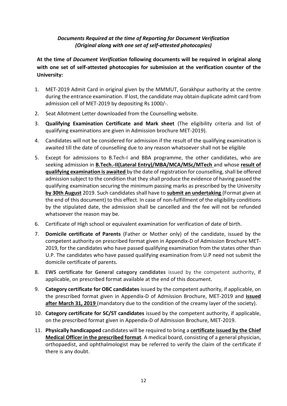### *Documents Required at the time of Reporting for Document Verification (Original along with one set of self-attested photocopies)*

**At the time of** *Document Verification* **following documents will be required in original along with one set of self-attested photocopies for submission at the verification counter of the University:**

- 1. MET-2019 Admit Card in original given by the MMMUT, Gorakhpur authority at the centre during the entrance examination. If lost, the candidate may obtain duplicate admit card from admission cell of MET-2019 by depositing Rs 1000/-.
- 2. Seat Allotment Letter downloaded from the Counselling website.
- 3. **Qualifying Examination Certificate and Mark sheet** (The eligibility criteria and list of qualifying examinations are given in Admission brochure MET-2019).
- 4. Candidates will not be considered for admission if the result of the qualifying examination is awaited till the date of counselling due to any reason whatsoever shall not be eligible
- 5. Except for admissions to B.Tech-I and BBA programme, the other candidates, who are seeking admission in **B.Tech.-II(Lateral Entry)/MBA/MCA/MSc/MTech** and whose **result of qualifying examination is awaited** by the date of registration for counselling, shall be offered admission subject to the condition that they shall produce the evidence of having passed the qualifying examination securing the minimum passing marks as prescribed by the University **by 30th August** 2019. Such candidates shall have to **submit an undertaking** (Format given at the end of this document) to this effect. In case of non-fulfillment of the eligibility conditions by the stipulated date, the admission shall be cancelled and the fee will not be refunded whatsoever the reason may be.
- 6. Certificate of High school or equivalent examination for verification of date of birth.
- 7. **Domicile certificate of Parents** (Father or Mother only) of the candidate, issued by the competent authority on prescribed format given in Appendix-D of Admission Brochure MET-2019, for the candidates who have passed qualifying examination from the states other than U.P. The candidates who have passed qualifying examination from U.P need not submit the domicile certificate of parents.
- 8. **EWS certificate for General category candidates** issued by the competent authority, if applicable, on prescribed format available at the end of this document.
- 9. **Category certificate for OBC candidates** issued by the competent authority, if applicable, on the prescribed format given in Appendix-D of Admission Brochure, MET-2019 and **issued after March 31, 2019** (mandatory due to the condition of the creamy layer of the society).
- 10. **Category certificate for SC/ST candidates** issued by the competent authority, if applicable, on the prescribed format given in Appendix-D of Admission Brochure, MET-2019.
- 11. **Physically handicapped** candidates will be required to bring a **certificate issued by the Chief Medical Officer in the prescribed format**. A medical board, consisting of a general physician, orthopaedist, and ophthalmologist may be referred to verify the claim of the certificate if there is any doubt.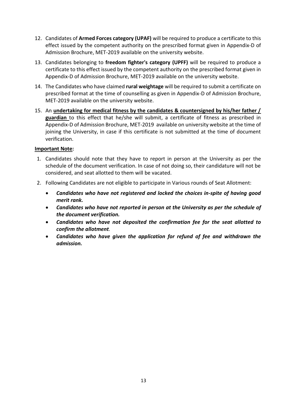- 12. Candidates of **Armed Forces category (UPAF)** will be required to produce a certificate to this effect issued by the competent authority on the prescribed format given in Appendix-D of Admission Brochure, MET-2019 available on the university website.
- 13. Candidates belonging to **freedom fighter's category (UPFF)** will be required to produce a certificate to this effect issued by the competent authority on the prescribed format given in Appendix-D of Admission Brochure, MET-2019 available on the university website.
- 14. The Candidates who have claimed **rural weightage** will be required to submit a certificate on prescribed format at the time of counselling as given in Appendix-D of Admission Brochure, MET-2019 available on the university website.
- 15. An **undertaking for medical fitness by the candidates & countersigned by his/her father / guardian** to this effect that he/she will submit, a certificate of fitness as prescribed in Appendix-D of Admission Brochure, MET-2019 available on university website at the time of joining the University, in case if this certificate is not submitted at the time of document verification.

### **Important Note:**

- 1. Candidates should note that they have to report in person at the University as per the schedule of the document verification. In case of not doing so, their candidature will not be considered, and seat allotted to them will be vacated.
- 2. Following Candidates are not eligible to participate in Various rounds of Seat Allotment:
	- *Candidates who have not registered and locked the choices in-spite of having good merit rank.*
	- *Candidates who have not reported in person at the University as per the schedule of the document verification.*
	- *Candidates who have not deposited the confirmation fee for the seat allotted to confirm the allotment.*
	- *Candidates who have given the application for refund of fee and withdrawn the admission.*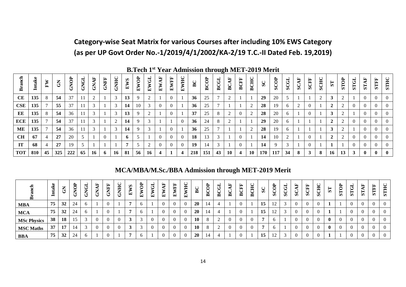# **Category-wise Seat Matrix for various Courses after including 10% EWS Category (as per UP Govt Order No.-1/2019/4/1/2002/KA-2/19 T.C.-II Dated Feb. 19,2019)**

|            |        |         |              |      |      |             |             |             |                |      |                      |                       |                |                         |           |             |                |             |                         |         | $\frac{1}{2}$ |             |      |             |                |           |                |      |              |                |              |             |
|------------|--------|---------|--------------|------|------|-------------|-------------|-------------|----------------|------|----------------------|-----------------------|----------------|-------------------------|-----------|-------------|----------------|-------------|-------------------------|---------|---------------|-------------|------|-------------|----------------|-----------|----------------|------|--------------|----------------|--------------|-------------|
| đ          | Intake | ⋗<br>Œ. | $\mathbf{E}$ | GNOP | GNGI | <b>GNAF</b> | <b>GNFF</b> | <b>GNHC</b> | EWS            | EWOP | $\overline{G}$<br>Ĺ. | $\overline{AB}$<br>EW | <b>EWFF</b>    | EWHC                    | BC        | <b>BCOP</b> | <b>BCGI</b>    | <b>BCAF</b> | <b>BCFF</b>             | ЭĘ<br>ఠ | SC            | <b>SCOP</b> | SCGL | <b>SCAF</b> | <b>SCFF</b>    | SCHC      | ST             | STOP | <b>STGL</b>  | <b>STAF</b>    | <b>STFF</b>  | <b>STHC</b> |
| CE         | 135    | 8       | 54           | 37   | -11  | $\sim$<br>∠ |             | 3           | 13             | 9    |                      |                       | $\Omega$       |                         | 36        | 25          | $\overline{ }$ | $\bigcap$   |                         |         | 29            | 20          | 5    |             |                | $\bigcap$ | 3              |      |              | $\theta$       | $\Omega$     |             |
| CSE        | 135    |         | 55           | 37   | 11   |             |             | 3           | 14             | 10   |                      |                       | $\Omega$       |                         | 36        | 25          |                |             |                         |         | 28            | 19          | 6    | 2           | $\theta$       |           | $\gamma$       |      | $\Omega$     | $\bf{0}$       |              |             |
| EE         | 135    | 8       | 54           | 36   | -11  |             |             | 3           | 13             | 9    |                      |                       | $\overline{0}$ |                         | 37        | 25          | 8              | 2           | $\theta$                |         | 28            | 20          | 6    |             | $\overline{0}$ |           | 3              |      |              | $\overline{0}$ | $\Omega$     |             |
| <b>ECE</b> | 135    |         | 54           | 37   | 11   | 3           |             | 2           | 14             | -9   | 3                    |                       |                | $\theta$                | 36        | 24          | 8              | $\gamma$    |                         |         | 29            | 20          | 6    |             |                |           | $\overline{2}$ |      | $\Omega$     | $\theta$       | $\Omega$     |             |
| <b>ME</b>  | 135    |         | 54           | 36   | 11   | 3           |             | 3           | 14             | 9    |                      |                       | $\Omega$       |                         | 36        | 25          | $\overline{ }$ |             |                         |         | 28            | 19          | 6    |             |                |           | 3              |      |              | $\Omega$       |              |             |
| <b>CH</b>  | 67     |         | 27           | 20   |      |             | $\Omega$    |             | 6              |      |                      |                       | $\Omega$       | $\theta$                | <b>18</b> | 13          | 3              |             | $\theta$                |         | 14            | 10          | 2    |             | $\Omega$       |           | $\overline{2}$ |      | $\Omega$     | $\Omega$       |              |             |
| IT         | 68     | 4       | 27           | 19   |      |             |             |             | $\overline{ }$ |      | ി                    |                       | $\Omega$       | $\theta$                | 19        | 14          | 3              |             | $\Omega$                |         | 14            | $\mathbf Q$ | 3    |             | $\Omega$       |           |                |      | $\Omega$     | $\Omega$       | $\Omega$     |             |
| <b>TOT</b> | 810    | 45      | 325          | 222  | 65   | 16          | 6           | <b>16</b>   | 81             | 56   | 16                   | 4                     |                | $\overline{\mathbf{4}}$ | 218       | 151         | 43             | <b>10</b>   | $\overline{\mathbf{4}}$ | 10      | 170           | 117         | 34   | 8           | $\mathbf{3}$   | 8         | <b>16</b>      | 13   | $\mathbf{3}$ | $\mathbf{0}$   | $\mathbf{0}$ |             |

**B.Tech 1st Year Admission through MET-2019 Merit**

# **MCA/MBA/M.Sc./BBA Admission through MET-2019 Merit**

| ≏                  |    | ы  | ≏<br>∽<br>듥 | ⊣<br>$\checkmark$<br>∽<br>සි | ┗<br>⇁<br>ට් | 置<br>÷ | ◡<br>ᄇ<br>∽<br>들<br>◡ | ω<br>비 | ටි<br>⋗<br>臼 | ٿ<br>E   | ⊶<br>闰 | ≃<br>≃<br>ㅁ | 耳<br>비 | ◡<br>⋒    | ≏<br>⌒<br>پ<br>$\checkmark$<br>≃ | $\check{ }$<br>◚ | ►<br>◚ | E,<br>Þ.<br>≏ | $\checkmark$<br>Ę<br>⋒ | ◡<br>$\boldsymbol{\omega}$ | ळ           | ÷н<br>◡<br>$\checkmark$<br>Ō | E<br>$\bar{a}$ | Ě<br>ω | ◡<br>頁<br>$\boldsymbol{\omega}$ | 51           | ≿<br>$\check{ }$<br>51 | ⊨<br>$\mathbf{a}$ | ≃<br>51 | E,<br><b>STF</b> | <b>STH</b> |
|--------------------|----|----|-------------|------------------------------|--------------|--------|-----------------------|--------|--------------|----------|--------|-------------|--------|-----------|----------------------------------|------------------|--------|---------------|------------------------|----------------------------|-------------|------------------------------|----------------|--------|---------------------------------|--------------|------------------------|-------------------|---------|------------------|------------|
| <b>MBA</b>         | 75 | 32 | 24          | <sub>0</sub>                 |              |        |                       |        |              |          |        |             |        | <b>20</b> | 14                               |                  |        |               |                        | 15                         | 12          |                              | $\theta$       |        | $\theta$                        |              |                        |                   |         |                  |            |
| <b>MCA</b>         | 75 | 32 | 24          | <sub>0</sub>                 |              |        |                       |        |              |          |        |             |        | <b>20</b> | 14                               |                  |        |               |                        | 15                         | $1^{\circ}$ |                              | $\theta$       |        |                                 |              |                        |                   |         |                  |            |
| <b>MSc Physics</b> | 38 | 18 | $\sim$      |                              | 0            |        |                       |        |              | $\theta$ |        |             |        | 10        |                                  |                  |        | £             |                        |                            |             |                              | $\Omega$       |        | $\theta$                        | $\mathbf{0}$ |                        | $\Omega$          |         | - 71             |            |
| <b>MSC Maths</b>   | 37 | 17 | l 4         |                              | 0            |        |                       |        |              | 0        |        |             |        | 10        |                                  |                  |        | $\Omega$      |                        |                            |             |                              | $\Omega$       |        | $\theta$                        | $\mathbf{0}$ |                        | $\Omega$          |         | -0               |            |
| <b>BBA</b>         | 75 | 32 | 24          | <sub>0</sub>                 |              |        |                       |        | <sub>n</sub> |          |        |             |        | <b>20</b> | 14                               |                  |        |               |                        | 15                         | $1^{\circ}$ |                              | $\Omega$       |        | $\left($                        |              |                        |                   |         | - ( )            |            |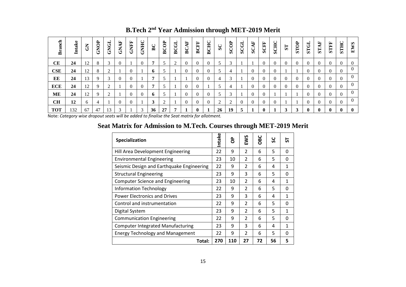| <b>Branch</b> | Intake | $\mathbf{\tilde{S}}$ | GNOP | GNGL | <b>GNAF</b>    | <b>GNFF</b> | <b>CNHC</b> | BC | <b>BCOP</b> | <b>BCGL</b> | $\overline{A}$<br>$\mathbf{B}$ | <b>BCFF</b> | <b>BCHC</b> | $S_{\rm C}$ | SCOP | <b>SCGL</b>  | AF<br>SC. | <b>SCFF</b> | <b>SCHC</b> | $\overline{\mathbf{S}}$ | <b>STOP</b> | <b>STGL</b> | <b>STAF</b>  | <b>STIFF</b> | <b>STHC</b> | EWS         |
|---------------|--------|----------------------|------|------|----------------|-------------|-------------|----|-------------|-------------|--------------------------------|-------------|-------------|-------------|------|--------------|-----------|-------------|-------------|-------------------------|-------------|-------------|--------------|--------------|-------------|-------------|
| CE            | 24     | 12                   | 8    |      | $\Omega$       |             |             |    | 5           | 2           | $\theta$                       |             | $\theta$    | 5           | 3    |              |           |             | $\theta$    | $\Omega$                | $\Omega$    |             | $\Omega$     | $\Omega$     | $\left($    |             |
| <b>CSE</b>    | 24     | 12                   | 8    |      |                | $\Omega$    |             | 6  | 5           |             | $\Omega$                       | 0           |             | 5           | 4    |              | $\theta$  | $\Omega$    | $\theta$    |                         |             | $\Omega$    |              | $\Omega$     | $\Omega$    | $\Omega$    |
| EE            | 24     | 13                   | 9    |      | $\overline{0}$ | $\Omega$    |             |    |             |             |                                | 0           | $\Omega$    | 4           | 3    |              | $\Omega$  | $\Omega$    | $\theta$    | $\Omega$                | $\Omega$    | $\theta$    |              | $\Omega$     |             | $\theta$    |
| <b>ECE</b>    | 24     | 12                   | 9    |      |                | $\Omega$    |             |    |             |             | $\Omega$                       | 0           |             | 5           | 4    |              | $\Omega$  | $\Omega$    | $\Omega$    | $\Omega$                | $\Omega$    |             |              | $\Omega$     |             | $\theta$    |
| <b>ME</b>     | 24     | 12                   | 9    |      |                | $\Omega$    |             | 6  | $\epsilon$  |             | $\Omega$                       | 0           | $\Omega$    | 5           | 3    |              | $\Omega$  |             |             |                         |             | $\theta$    | $\Omega$     | $\Omega$     | $\theta$    | $\Omega$    |
| <b>CH</b>     | 12     | 6                    | 4    |      | $\theta$       | $\Omega$    |             | 3  | 2           |             | $\Omega$                       |             |             | ി<br>∠      | 2    | $\Omega$     | $\Omega$  |             |             |                         |             |             |              | $\Omega$     |             |             |
| <b>TOT</b>    | 132    | 67                   | 47   | 13   | 3              |             | 2           | 36 | 27          |             |                                | 0           |             | 26          | 19   | $\mathbf{5}$ |           | $\bf{0}$    |             | 3                       | 3           | 0           | $\mathbf{0}$ | $\mathbf 0$  | 0           | $\mathbf 0$ |

**B.Tech 2 nd Year Admission through MET-2019 Merit**

Note: *Category wise dropout seats will be added to finalise the Seat matrix for allotment.*

# **Seat Matrix for Admission to M.Tech. Courses through MET-2019 Merit**

| Specialization                            | Intake | g   | EWS            | OBC | ပ<br>Ū | 5        |
|-------------------------------------------|--------|-----|----------------|-----|--------|----------|
| Hill Area Development Engineering         | 22     | 9   | $\mathfrak{p}$ | 6   | 5      | $\Omega$ |
| <b>Environmental Engineering</b>          | 23     | 10  | $\overline{2}$ | 6   | 5      | 0        |
| Seismic Design and Earthquake Engineering | 22     | 9   | $\overline{2}$ | 6   | 4      | 1        |
| <b>Structural Engineering</b>             | 23     | 9   | 3              | 6   | 5      | 0        |
| <b>Computer Science and Engineering</b>   | 23     | 10  | $\overline{2}$ | 6   | 4      | 1        |
| <b>Information Technology</b>             | 22     | 9   | $\overline{2}$ | 6   | 5      | 0        |
| <b>Power Electronics and Drives</b>       | 23     | 9   | 3              | 6   | 4      | 1        |
| Control and instrumentation               | 22     | 9   | $\overline{2}$ | 6   | 5      | 0        |
| Digital System                            | 23     | 9   | $\overline{2}$ | 6   | 5      | 1        |
| <b>Communication Engineering</b>          | 22     | 9   | $\overline{2}$ | 6   | 5      | 0        |
| <b>Computer Integrated Manufacturing</b>  | 23     | 9   | 3              | 6   | 4      | 1        |
| <b>Energy Technology and Management</b>   | 22     | 9   | $\overline{2}$ | 6   | 5      | $\Omega$ |
| Total:                                    | 270    | 110 | 27             | 72  | 56     | 5        |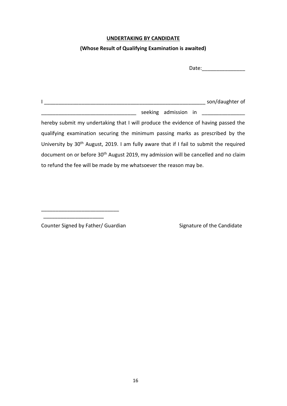### **UNDERTAKING BY CANDIDATE**

### **(Whose Result of Qualifying Examination is awaited)**

Date:

I \_\_\_\_\_\_\_\_\_\_\_\_\_\_\_\_\_\_\_\_\_\_\_\_\_\_\_\_\_\_\_\_\_\_\_\_\_\_\_\_\_\_\_\_\_\_\_\_\_\_\_\_\_\_\_\_ son/daughter of \_\_\_\_\_\_\_\_\_\_\_\_\_\_\_\_\_\_\_\_\_\_\_\_\_\_\_\_\_\_\_\_\_ seeking admission in \_\_\_\_\_\_\_\_\_\_\_\_\_\_\_ hereby submit my undertaking that I will produce the evidence of having passed the qualifying examination securing the minimum passing marks as prescribed by the University by 30<sup>th</sup> August, 2019. I am fully aware that if I fail to submit the required document on or before 30<sup>th</sup> August 2019, my admission will be cancelled and no claim to refund the fee will be made by me whatsoever the reason may be.

Counter Signed by Father/ Guardian Signature of the Candidate

\_\_\_\_\_\_\_\_\_\_\_\_\_\_\_\_\_\_\_\_\_\_\_\_\_\_\_ \_\_\_\_\_\_\_\_\_\_\_\_\_\_\_\_\_\_\_\_\_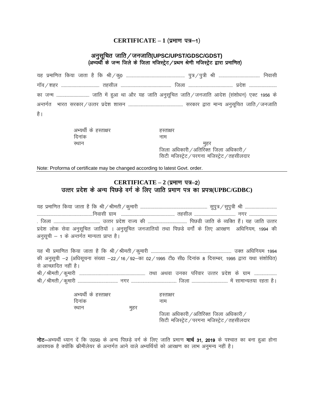#### **CERTIFICATE – 1 (प्रमाण पत्र–1)**

### अनुसूचित जाति ⁄ जनजाति(UPSC/UPST/GDSC/GDST) (अभ्यर्थी के जन्म जिले के जिला मजिस्ट्रेट / प्रथम श्रेणी मजिस्ट्रेट द्वारा प्रमाणित)

;g i zekf.kr fd;k tkrk g S fd Jh@dq0 --------------------------------------------------------- iq=@i q=h Jh ---------------------------------------- fuoklh xkWao@'kgj ------------------------------------- rglhy ------------------------------------------------- ftyk ------------------------------------------- izns'k -------------------------- dk tUe -------------------------------- tkfr esa g qvk Fkk vk Sj ;g tkfr vuqlwfpr tkfr@tutkfr vkns'k ¼la'kks/ku½ ,DV 1956 ds vUrxZr Hkkjr ljdkj@mRrj i zns'k 'kklu ----------------------------------------------------- ljdkj }kjk ekU; vuqlwfpr tkfr@tutkfr है ।

| अभ्यर्थी के हस्ताक्षर | हस्ताक्षर |      |
|-----------------------|-----------|------|
| दिनांक                | नाम       |      |
| रथान                  |           | मुहर |

जिला अधिकारी $/$ अतिरिक्त जिला अधिकारी $/$ सिटी मजिस्ट्रेट / परगना मजिस्ट्रेट / तहसीलदार

Note: Proforma of certificate may be changed according to latest Govt. order.

### **CERTIFICATE – 2 (प्रमाण पत्र–2)** उत्तर प्रदेश के अन्य पिछड़े वर्ग के लिए जाति प्रमाण पत्र का प्रपत्र(UPBC/GDBC)

|                                             | यह प्रमाणित किया जाता है कि श्री / श्रीमती / कुमारी …………………………………………………… सुपुत्र / सुपुत्री श्री ……………………………… |
|---------------------------------------------|---------------------------------------------------------------------------------------------------------------|
|                                             |                                                                                                               |
|                                             |                                                                                                               |
|                                             | प्रदेश लोक सेवा अनुसूचित जातियों । अनुसूचित जनजातियों तथा पिछडे वर्गों के लिए आरक्षण अधिनियम, 1994 की         |
| अनुसूची – 1 के अन्तर्गत मान्यता प्राप्त है। |                                                                                                               |
|                                             |                                                                                                               |
|                                             |                                                                                                               |
|                                             | की अनुसूची -2 (अधिसूचना संख्या -22/16/92-का 02/1995 टी0 सी0 दिनांक 8 दिसम्बर, 1995 द्वारा यथा संशोधित)        |
| से आच्छादित नहीं है।                        |                                                                                                               |
|                                             |                                                                                                               |
|                                             |                                                                                                               |
|                                             |                                                                                                               |
| अभ्यर्थी के हस्ताक्षर                       | हस्ताक्षर                                                                                                     |
| दिनांक                                      | नाम                                                                                                           |
| स्थान<br>मुहर                               |                                                                                                               |

जिला अधिकारी / अतिरिक्त जिला अधिकारी / सिटी मजिस्ट्रेट / परगना मजिस्ट्रेट / तहसीलदार

nd E-अभ्यर्थी ध्यान दें कि उ0प्र0 के अन्य पिछड़े वर्ग के लिए जाति प्रमाण मार्च 31, 2019 के पश्चात का बना हुआ होना आवश्यक है क्योंकि कीमीलेयर के अन्तर्गत आने वाले अभ्यर्थियों को आरक्षण का लाभ अनुमन्य नहीं है।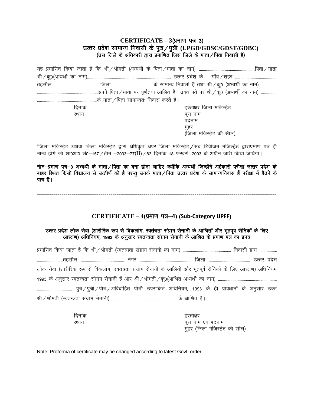### **CERTIFICATE – 3 (प्रमाण पत्र–3)** उत्तर प्रदेश सामान्य निवासी के पुत्र / पुत्री (UPGD/GDSC/GDST/GDBC) (उस जिले के अधिकारी द्वारा प्रमाणित जिस जिले के माता / पिता निवासी है)

| दिनांक | हस्ताक्षर जिला मजिस्ट्रेट        |
|--------|----------------------------------|
| स्थान  | पूरा नाम                         |
|        | पदनाम                            |
|        |                                  |
|        | मुहर<br>(जिला मजिस्ट्रेट की सील) |

'जिला मजिस्ट्रेट अथवा जिला मजिस्ट्रेट द्वारा अधिकृत अपर जिला मजिस्ट्रेट / सब डिवीजन मजिस्ट्रेट द्वाराप्रमाण पत्र ही मान्य होंगे जो शा0आ0 सं0-157 / तीन -2003-77(II) / 83 दिनांक 18 फरवरी, 2003 के अधीन जारी किया जायेगा।

नोट—प्रमाण पत्र—3 अभ्यर्थी के माता⁄पिता का बना होना चाहिए क्योंकि अभ्यर्थी जिन्होंने अर्हकारी परीक्षा उत्तर प्रदेश के बाहर स्थित किसी विद्यालय से उत्तीर्ण की है परन्तु उनके माता / पिता उत्तर प्रदेश के सामान्यनिवास हैं परीक्षा में बैठने के पात्र हैं।

---------------------------------------------------------------------------------------------------------------------

#### **CERTIFICATE – 4(**i zek.k i=–**4) (Sub-Category UPFF)**

### उत्तर प्रदेश लोक सेवा (शारीरिक रूप से विकलांग, स्वतंत्रता संग्राम सेनानी के आश्रितों और भूतपूर्व सैनिकों के लिए where the control of the control of the control control in the control of the control of the surfar control in<br>Surface definition of the interest. In the signal control is supposed.

| लोक सेवा (शारीरिक रूप से विकलांग, स्वतंत्रता संग्राम सेनानी के आश्रितों और भूतपूर्व सैनिकों के लिए आरक्षण) अधिनियम |  |
|--------------------------------------------------------------------------------------------------------------------|--|
|                                                                                                                    |  |
|                                                                                                                    |  |
|                                                                                                                    |  |

| दिनांक | हस्ताक्षर                                          |
|--------|----------------------------------------------------|
| स्थान  | पूरा नाम एव पदनाम<br>मुहर (जिला मजिस्ट्रेट की सील) |

Note: Proforma of certificate may be changed according to latest Govt. order.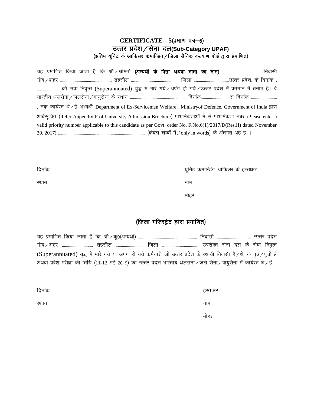### **CERTIFICATE – 5 (प्रमाण पत्र–5)** उत्तर प्रदेश/ सेना दल(Sub-Category UPAF) (अंतिम यूनिट के आफिसर कमान्डिंग/जिला सैनिक कल्याण बोर्ड द्वारा प्रमाणित)

;g izekf.kr fd;k tkrk gS fd Jh@Jherh ¼vH;Fkh Z ds firk vFkok ekrk dk uke½ ---------------------------------------fuoklh xkWao@'kgj -------------------------------------------------- rglhy ---------------------------------------------- ftyk ----------------------------------mRrj izns'k] ds fnuk ad - ------------------------dk s lsok fuo`Rr (Superannuated) ;q) esa ekjs x;s@vi ax gk s x;s@mRrj i zns'k esa orZeku esa rSukr g SA os Hkkjrh; Fkylsuk@tylsuk@ok;qlsuk ds LFkku ------------------------------------------------------ fnukad-------------------------- ls fnukad ------------------------- . तक कार्यरत थे/हैं।अभ्यर्थी Department of Ex-Servicemen Welfare, Ministryof Defence, Government of India द्वारा अधिसूचित (Refer Appendix-F of University Admission Brochure) प्राथमिकताओं में से प्राथमिकता नंबर (Please enter a valid priority number applicable to this candidate as per Govt. order No. F.No.6(1)/2017/D(Res.II) dated November 30, 2017½ ------------------------------------------------------------------------------------ ¼dsoy 'kCnksa esa@only in words½ d s varxZr vg Z g S A

| दिनांक | यूनिट कमान्डिंग आफिसर के हस्ताक्षर |
|--------|------------------------------------|
| स्थान  | नाम                                |
|        | मोहर                               |

# (जिला मजिस्ट्रेट द्वारा प्रमाणित)

| यह प्रमाणित किया जाता है कि श्री ⁄ क्0(अभ्यर्थी) ……………………………………………… निवासी …………………………… उत्तर प्रदेश                              |  |
|----------------------------------------------------------------------------------------------------------------------------------|--|
|                                                                                                                                  |  |
| (Superannuated) युद्ध में मारे गये या अपंग हो गये कर्मचारी जो उत्तर प्रदेश के स्थायी निवासी हैं /थे, के पुत्र /पुत्री हैं        |  |
| अथवा प्रवेश परीक्षा की तिथि (11-12 मई 2019) को उत्तर प्रदेश भारतीय थलसेना $\,$ जल सेना $\,$ वायुसेना में कार्यरत थे $\,/\,$ हैं। |  |

| दिनांक | हस्ताक्षर |
|--------|-----------|
| स्थान  | नाम       |
|        | मोहर      |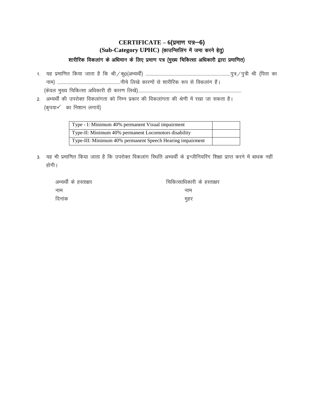# **CERTIFICATE – 6(प्रमाण पत्र–6)** (Sub-Category UPHC) (काउन्सिलिंग में जमा करने हेतु) शारीरिक विकलांग के अधिमान के लिए प्रमाण पत्र (मुख्य चिकित्सा अधिकारी द्वारा प्रमाणित)

- 1- ;g i zekf.kr fd;k tkrk g S fd Jh@dq0¼vH;Fkh Z½ ----------------------------------------------------------------------------------iq=@i q=h Jh ¼firk dk uke½ -------------------------------------------------------------uhps fy[ks dkj.kksa l s 'kkjhfjd :i ls fodykax g S aA ¼d soy eq[; fpfdRlk vf/kdkjh gh dkj.k fy[ksa½----------------------------------------------------------------------------------------------------
- 2. अभ्यर्थी की उपरोक्त विकलांगता को निम्न प्रकार की विकलांगता की श्रेणी में रखा जा सकता है।  $(\overline{q}$ पया $\checkmark$  का निशान लगायें)

| Type - I: Minimum 40% permanent Visual impairment         |  |
|-----------------------------------------------------------|--|
| Type-II: Minimum 40% permanent Locomotors disability      |  |
| Type-III: Minimum 40% permanent Speech Hearing impairment |  |

3. यह भी प्रमाणित किया जाता है कि उपरोक्त विकलांग स्थिति अभ्यर्थी के इन्जीनियरिंग शिक्षा प्राप्त करने में बाधक नहीं होगी ।

| अभ्यर्थी के हस्ताक्षर | चिकित्साधिकारी के हस्ताक्षर |
|-----------------------|-----------------------------|
| नाम                   | नाम                         |
| दिनांक                | महर                         |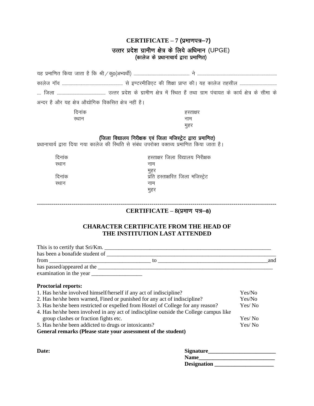# **CERTIFICATE – 7 (**izek.ki=&**7)**

### उत्तर प्रदेश ग्रामीण क्षेत्र के लिये अधिमान (UPGE) (कालेज के प्रधानाचार्य द्वारा प्रमाणित)

| अन्दर है और यह क्षेत्र औद्योगिक विकसित क्षेत्र नहीं है।                                                                                         |                                                                                                                                                              |                  |
|-------------------------------------------------------------------------------------------------------------------------------------------------|--------------------------------------------------------------------------------------------------------------------------------------------------------------|------------------|
| दिनांक                                                                                                                                          | हस्ताक्षर                                                                                                                                                    |                  |
| स्थान                                                                                                                                           | नाम                                                                                                                                                          |                  |
|                                                                                                                                                 | मुहर                                                                                                                                                         |                  |
|                                                                                                                                                 | (जिला विद्यालय निरीक्षक एवं जिला मजिस्ट्रेट द्वारा प्रमाणित)<br>प्रधानाचार्य द्वारा दिया गया कालेज की स्थिति से संबंध उपरोक्त वक्तव्य प्रमाणित किया जाता है। |                  |
| दिनांक                                                                                                                                          | हस्ताक्षर जिला विद्यालय निरीक्षक                                                                                                                             |                  |
| स्थान                                                                                                                                           | नाम                                                                                                                                                          |                  |
| दिनांक                                                                                                                                          | मुहर<br>प्रति हस्ताक्षरित जिला मजिस्ट्रेट                                                                                                                    |                  |
| स्थान                                                                                                                                           | नाम                                                                                                                                                          |                  |
|                                                                                                                                                 | मुहर                                                                                                                                                         |                  |
|                                                                                                                                                 |                                                                                                                                                              |                  |
|                                                                                                                                                 | CERTIFICATE $-8($ प्रमाण पत्र-8)                                                                                                                             |                  |
|                                                                                                                                                 | <b>CHARACTER CERTIFICATE FROM THE HEAD OF</b><br>THE INSTITUTION LAST ATTENDED                                                                               |                  |
|                                                                                                                                                 |                                                                                                                                                              |                  |
|                                                                                                                                                 | This is to certify that Sri/Km.                                                                                                                              |                  |
|                                                                                                                                                 |                                                                                                                                                              |                  |
|                                                                                                                                                 |                                                                                                                                                              |                  |
|                                                                                                                                                 |                                                                                                                                                              |                  |
| <b>Proctorial reports:</b>                                                                                                                      |                                                                                                                                                              |                  |
| 1. Has he/she involved himself/herself if any act of indiscipline?<br>2. Has he/she been warned, Fined or punished for any act of indiscipline? |                                                                                                                                                              | Yes/No<br>Yes/No |
| 3. Has he/she been restricted or expelled from Hostel of College for any reason?                                                                |                                                                                                                                                              | Yes/No           |
|                                                                                                                                                 | 4. Has he/she been involved in any act of indiscipline outside the College campus like                                                                       |                  |
| group clashes or fraction fights etc.                                                                                                           |                                                                                                                                                              | Yes/No           |
| 5. Has he/she been addicted to drugs or intoxicants?<br>General remarks (Please state your assessment of the student)                           |                                                                                                                                                              | Yes/No           |
|                                                                                                                                                 |                                                                                                                                                              |                  |

| Date: | Signature          |
|-------|--------------------|
|       | <b>Name</b>        |
|       | <b>Designation</b> |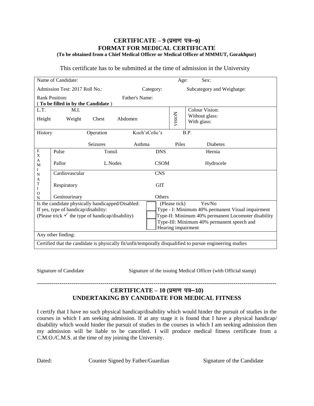#### **CERTIFICATE – 9 (प्रमाण पत्र–9) FORMAT FOR MEDICAL CERTIFICATE (To be obtained from a Chief Medical Officer or Medical Officer of MMMUT, Gorakhpur)**

| This certificate has to be submitted at the time of admission in the University |
|---------------------------------------------------------------------------------|
|                                                                                 |

| Name of Candidate:                                                                                                                                       |                |           |                | Sex:<br>Age:                                                                                                                                                                                            |        |                                                 |  |
|----------------------------------------------------------------------------------------------------------------------------------------------------------|----------------|-----------|----------------|---------------------------------------------------------------------------------------------------------------------------------------------------------------------------------------------------------|--------|-------------------------------------------------|--|
| Admission Test: 2017 Roll No.:                                                                                                                           |                |           |                | Category:                                                                                                                                                                                               |        | Subcategory and Weighatge:                      |  |
| <b>Rank Position:</b><br>To be filled in by the Candidate )                                                                                              |                |           | Father's Name: |                                                                                                                                                                                                         |        |                                                 |  |
| L.T.<br>Height                                                                                                                                           | M.I.<br>Weight | Chest     | Abdomen        |                                                                                                                                                                                                         | VISION | Colour Vision:<br>Without glass:<br>With glass: |  |
| History                                                                                                                                                  |                | Operation |                | Koch'sColic's                                                                                                                                                                                           |        | B.P.                                            |  |
|                                                                                                                                                          |                | Seizures  | Asthma         |                                                                                                                                                                                                         | Piles  | <b>Diabetes</b>                                 |  |
| E<br>X                                                                                                                                                   | Pulse          | Tonsil    |                | <b>DNS</b>                                                                                                                                                                                              |        | Hernia                                          |  |
| A<br>M                                                                                                                                                   | Pallor         | L.Nodes   |                | <b>CSOM</b>                                                                                                                                                                                             |        | Hydrocele                                       |  |
| I<br>N                                                                                                                                                   | Cardiovascular |           |                | <b>CNS</b>                                                                                                                                                                                              |        |                                                 |  |
| А<br>T<br>I                                                                                                                                              | Respiratory    |           |                | <b>GIT</b>                                                                                                                                                                                              |        |                                                 |  |
| $\Omega$<br>N                                                                                                                                            | Genitourinary  |           |                | Others                                                                                                                                                                                                  |        |                                                 |  |
| Is the candidate physically handicapped/Disabled:<br>If yes, type of handicap/disability:<br>(Please trick $\checkmark$ the type of handicap/disability) |                |           |                | Yes/No<br>(Please tick)<br>Type - I: Minimum 40% permanent Visual impairment<br>Type-II: Minimum 40% permanent Locomoter disability<br>Type-III: Minimum 40% permanent speech and<br>Hearing impairment |        |                                                 |  |
| Any other finding:                                                                                                                                       |                |           |                |                                                                                                                                                                                                         |        |                                                 |  |
| Certified that the candidate is physically fit/unfit/temporally disqualified to pursue engineering studies                                               |                |           |                |                                                                                                                                                                                                         |        |                                                 |  |

Signature of Candidate Signature of the issuing Medical Officer (with Official stamp)

## **CERTIFICATE – 10 (प्रमाण पत्र–10) UNDERTAKING BY CANDIDATE FOR MEDICAL FITNESS**

I certify that I have no such physical handicap/disability which would hinder the pursuit of studies in the courses in which I am seeking admission. If at any stage it is found that I have a physical handicap/ disability which would hinder the pursuit of studies in the courses in which I am seeking admission then my admission will be liable to be cancelled. I will produce medical fitness certificate from a C.M.O./C.M.S. at the time of my joining the University.

Dated: Counter Signed by Father/Guardian Signature of the Candidate

---------------------------------------------------------------------------------------------------------------------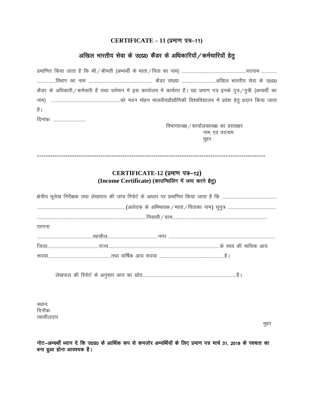# **CERTIFICATE – 11 (प्रमाण पत्र–11)**

# अखिल भारतीय सेवा के उ0प्र0 कैडर के अधिकारियों / कर्मचारियों हेतु

| कैडर के अधिकारी / कर्मचारी है तथा वर्तमान में इस कार्यालय में कार्यरत हैं। यह प्रमाण पत्र इनके पुत्र /पुत्री (अभ्यर्थी का |                                                      |  |  |  |
|---------------------------------------------------------------------------------------------------------------------------|------------------------------------------------------|--|--|--|
| नाम)                                                                                                                      |                                                      |  |  |  |
| है                                                                                                                        |                                                      |  |  |  |
| दिनाकः                                                                                                                    |                                                      |  |  |  |
|                                                                                                                           | विभागाध्यक्ष / कार्यालयाध्यक्ष का हस्ताक्षर          |  |  |  |
|                                                                                                                           | नाम एवं पदनाम<br>मुहर                                |  |  |  |
|                                                                                                                           |                                                      |  |  |  |
|                                                                                                                           |                                                      |  |  |  |
|                                                                                                                           |                                                      |  |  |  |
|                                                                                                                           | CERTIFICATE-12 (प्रमाण पत्र-12)                      |  |  |  |
|                                                                                                                           | (Income Certificate) (काउन्सिलिंग में जमा करने हेतु) |  |  |  |
|                                                                                                                           |                                                      |  |  |  |
|                                                                                                                           |                                                      |  |  |  |
|                                                                                                                           |                                                      |  |  |  |
|                                                                                                                           |                                                      |  |  |  |
| परगना                                                                                                                     |                                                      |  |  |  |
|                                                                                                                           |                                                      |  |  |  |
|                                                                                                                           |                                                      |  |  |  |
|                                                                                                                           |                                                      |  |  |  |
|                                                                                                                           |                                                      |  |  |  |
|                                                                                                                           |                                                      |  |  |  |
|                                                                                                                           |                                                      |  |  |  |
|                                                                                                                           |                                                      |  |  |  |

स्थानः दिनॉक: तहसीलदार

eqgj

नोट—अभ्यर्थी ध्यान दे कि उ0प्र0 के आर्थिक रूप से कमजोर अभ्यर्थियों के लिए प्रमाण पत्र मार्च 31, 2019 के पश्चात का बना हुआ होना आवश्यक है।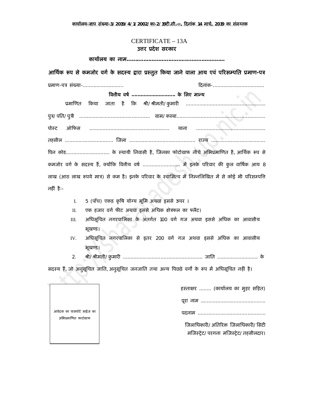**काया[लय-£ाप संÉया-3/2019/4/1/2002/का-2/19टȣ.सी.-II, Ǒदनांक 14 माच[, 2019 का संलÊ नक**

### **(Ĥपğ- I)** CERTIFICATE – 13A**उƣर Ĥदेश सरकार**

**काया[लय का नाम...........................................................**

# **आिथ[क Ǿप से कमजोर वग[ के सदèय Ʈारा Ĥèतुत Ǒकया जाने वाला आय एवं पǐरसàपित Ĥमाण-पğ**

| प्रमाण-पत्र संख्या-                                                                                  | दिनांक- |
|------------------------------------------------------------------------------------------------------|---------|
| वितीय वर्ष  के लिए मान्य                                                                             |         |
|                                                                                                      |         |
|                                                                                                      |         |
|                                                                                                      |         |
|                                                                                                      |         |
| पिन कोड के स्थायी निवासी है, जिनका फोटोग्राफ नीचे अभिप्रमाणित है, आर्थिक रूप से                      |         |
|                                                                                                      |         |
| लाख (आठ लाख रूपये मात्र) से कम है। इनके परिवार के स्वामित्व में निम्नलिखित में से कोई भी परिसम्पत्ति |         |
| नहीं हैः-                                                                                            |         |

I. 5 (पाँच) एकड़ कृषि योग्य भूमि अथवा इससे ऊपर ।

II. एक हजार वर्ग फीट अथवा इससे अधिक क्षेत्रफल का फ्लैट।

- III. अधिसूचित नगरपालिका के अंतर्गत 100 वर्ग गज अथवा इससे अधिक का आवासीय भूखण्ड।
- IV. अधिसूचित नगरपालिका से इतर 200 वर्ग गज अथवा इससे अधिक का आवासीय भूखण्ड।
- 2. Įी/Įीमती/कु मारȣ ..................................................... जाित ........................... के

सदस्य हैं, जो अनुसूचित जाति, अनुसूचित जनजाति तथा अन्य पिछड़े वर्गो के रूप में अधिसूचित नहीं है।

| हस्ताक्षर  (कार्यालय का मुहर सहित)    |
|---------------------------------------|
|                                       |
|                                       |
| जिलाधिकारी/अतिरिक्त जिलाधिकारी/सिटी   |
| मजिस्ट्रेट/परगना मजिस्ट्रेट/तहसीलदार। |

आवेदक का पासपोट[ साईज का अभिप्रमाणित फाटोग्राफ